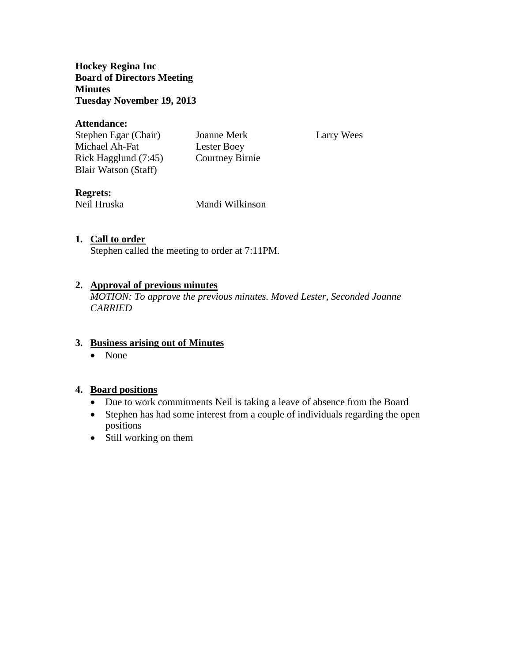**Hockey Regina Inc Board of Directors Meeting Minutes Tuesday November 19, 2013**

#### **Attendance:**

Stephen Egar (Chair) Joanne Merk Larry Wees Michael Ah-Fat Lester Boey Rick Hagglund (7:45) Courtney Birnie Blair Watson (Staff)

# **Regrets:**

Neil Hruska Mandi Wilkinson

### **1. Call to order**

Stephen called the meeting to order at 7:11PM.

#### **2. Approval of previous minutes**

*MOTION: To approve the previous minutes. Moved Lester, Seconded Joanne CARRIED*

### **3. Business arising out of Minutes**

• None

### **4. Board positions**

- Due to work commitments Neil is taking a leave of absence from the Board
- Stephen has had some interest from a couple of individuals regarding the open positions
- Still working on them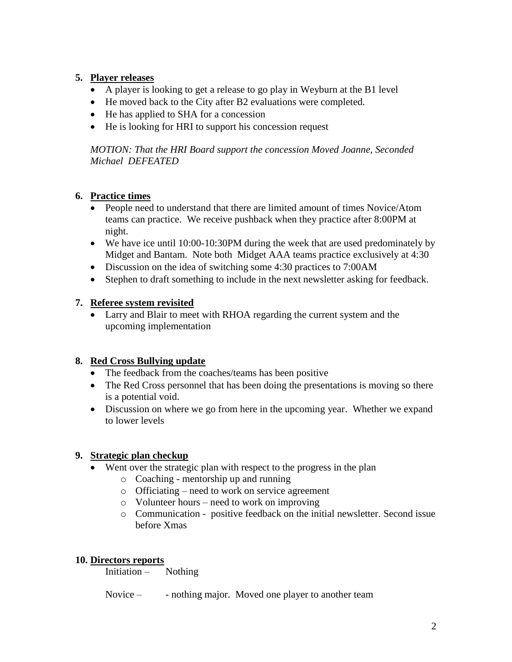# **5. Player releases**

- A player is looking to get a release to go play in Weyburn at the B1 level
- He moved back to the City after B2 evaluations were completed.
- He has applied to SHA for a concession
- He is looking for HRI to support his concession request

*MOTION: That the HRI Board support the concession Moved Joanne, Seconded Michael DEFEATED*

# **6. Practice times**

- People need to understand that there are limited amount of times Novice/Atom teams can practice. We receive pushback when they practice after 8:00PM at night.
- We have ice until 10:00-10:30PM during the week that are used predominately by Midget and Bantam. Note both Midget AAA teams practice exclusively at 4:30
- Discussion on the idea of switching some 4:30 practices to 7:00AM
- Stephen to draft something to include in the next newsletter asking for feedback.

# **7. Referee system revisited**

 Larry and Blair to meet with RHOA regarding the current system and the upcoming implementation

# **8. Red Cross Bullying update**

- The feedback from the coaches/teams has been positive
- The Red Cross personnel that has been doing the presentations is moving so there is a potential void.
- Discussion on where we go from here in the upcoming year. Whether we expand to lower levels

### **9. Strategic plan checkup**

- Went over the strategic plan with respect to the progress in the plan
	- o Coaching mentorship up and running
	- o Officiating need to work on service agreement
	- o Volunteer hours need to work on improving
	- o Communication positive feedback on the initial newsletter. Second issue before Xmas

### **10. Directors reports**

Initiation – Nothing

Novice – - nothing major. Moved one player to another team